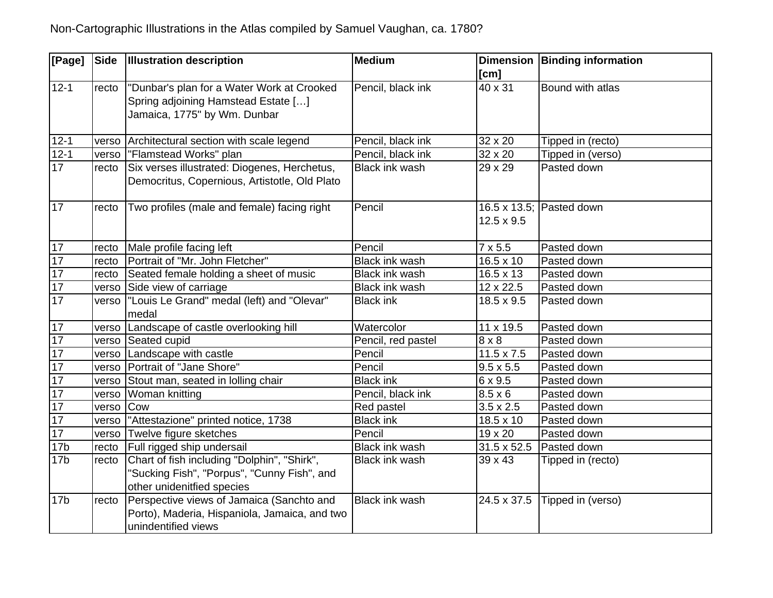| [Page]          | Side  | <b>Illustration description</b>               | <b>Medium</b>         |                    | Dimension Binding information |
|-----------------|-------|-----------------------------------------------|-----------------------|--------------------|-------------------------------|
|                 |       |                                               |                       | [cm]               |                               |
| $12 - 1$        | recto | "Dunbar's plan for a Water Work at Crooked    | Pencil, black ink     | 40 x 31            | Bound with atlas              |
|                 |       | Spring adjoining Hamstead Estate []           |                       |                    |                               |
|                 |       | Jamaica, 1775" by Wm. Dunbar                  |                       |                    |                               |
|                 |       |                                               |                       |                    |                               |
| $12 - 1$        | verso | Architectural section with scale legend       | Pencil, black ink     | 32 x 20            | Tipped in (recto)             |
| $12 - 1$        | verso | "Flamstead Works" plan                        | Pencil, black ink     | 32 x 20            | Tipped in (verso)             |
| 17              | recto | Six verses illustrated: Diogenes, Herchetus,  | <b>Black ink wash</b> | 29 x 29            | Pasted down                   |
|                 |       | Democritus, Copernious, Artistotle, Old Plato |                       |                    |                               |
|                 |       |                                               |                       |                    |                               |
| 17              | recto | Two profiles (male and female) facing right   | Pencil                |                    | 16.5 x 13.5; Pasted down      |
|                 |       |                                               |                       | $12.5 \times 9.5$  |                               |
|                 |       |                                               |                       |                    |                               |
| 17              | recto | Male profile facing left                      | Pencil                | $7 \times 5.5$     | Pasted down                   |
| 17              | recto | Portrait of "Mr. John Fletcher"               | Black ink wash        | $16.5 \times 10$   | Pasted down                   |
| 17              | recto | Seated female holding a sheet of music        | <b>Black ink wash</b> | $16.5 \times 13$   | Pasted down                   |
| 17              | verso | Side view of carriage                         | <b>Black ink wash</b> | 12 x 22.5          | Pasted down                   |
| 17              | verso | "Louis Le Grand" medal (left) and "Olevar"    | <b>Black ink</b>      | $18.5 \times 9.5$  | Pasted down                   |
|                 |       | medal                                         |                       |                    |                               |
| 17              | verso | Landscape of castle overlooking hill          | Watercolor            | 11 x 19.5          | Pasted down                   |
| 17              | verso | Seated cupid                                  | Pencil, red pastel    | $8 \times 8$       | Pasted down                   |
| 17              | verso | Landscape with castle                         | Pencil                | $11.5 \times 7.5$  | Pasted down                   |
| 17              | verso | Portrait of "Jane Shore"                      | Pencil                | $9.5 \times 5.5$   | Pasted down                   |
| 17              | verso | Stout man, seated in lolling chair            | <b>Black ink</b>      | 6 x 9.5            | Pasted down                   |
| 17              | verso | Woman knitting                                | Pencil, black ink     | $8.5 \times 6$     | Pasted down                   |
| 17              | verso | Cow                                           | Red pastel            | $3.5 \times 2.5$   | Pasted down                   |
| 17              | verso | "Attestazione" printed notice, 1738           | <b>Black ink</b>      | $18.5 \times 10$   | Pasted down                   |
| $\overline{17}$ | verso | Twelve figure sketches                        | Pencil                | 19 x 20            | Pasted down                   |
| 17 <sub>b</sub> | recto | Full rigged ship undersail                    | <b>Black ink wash</b> | $31.5 \times 52.5$ | Pasted down                   |
| 17 <sub>b</sub> | recto | Chart of fish including "Dolphin", "Shirk",   | Black ink wash        | 39 x 43            | Tipped in (recto)             |
|                 |       | 'Sucking Fish", "Porpus", "Cunny Fish", and   |                       |                    |                               |
|                 |       | other unidenitfied species                    |                       |                    |                               |
| 17 <sub>b</sub> | recto | Perspective views of Jamaica (Sanchto and     | <b>Black ink wash</b> | 24.5 x 37.5        | Tipped in (verso)             |
|                 |       | Porto), Maderia, Hispaniola, Jamaica, and two |                       |                    |                               |
|                 |       | unindentified views                           |                       |                    |                               |